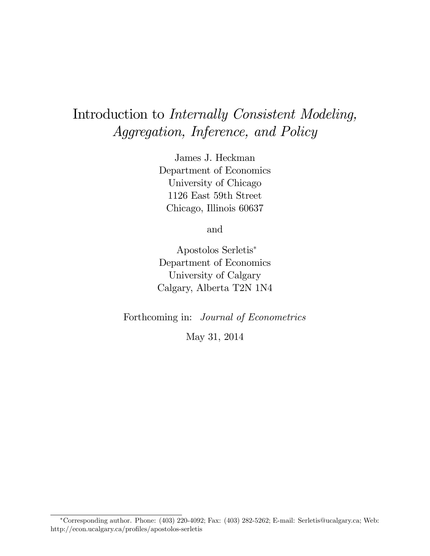## Introduction to Internally Consistent Modeling, Aggregation, Inference, and Policy

James J. Heckman Department of Economics University of Chicago 1126 East 59th Street Chicago, Illinois 60637

and

Apostolos Serletis Department of Economics University of Calgary Calgary, Alberta T2N 1N4

Forthcoming in: Journal of Econometrics

May 31, 2014

Corresponding author. Phone: (403) 220-4092; Fax: (403) 282-5262; E-mail: Serletis@ucalgary.ca; Web: http://econ.ucalgary.ca/profiles/apostolos-serletis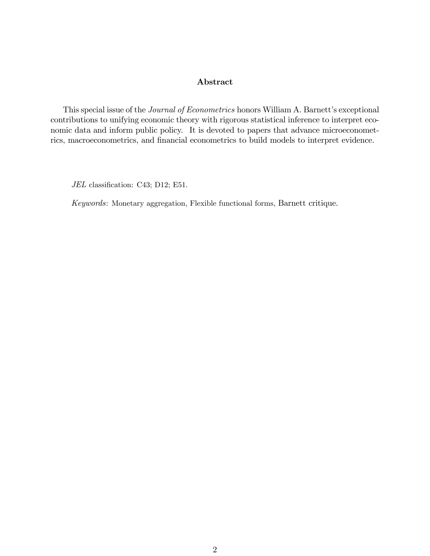## Abstract

This special issue of the *Journal of Econometrics* honors William A. Barnett's exceptional contributions to unifying economic theory with rigorous statistical inference to interpret economic data and inform public policy. It is devoted to papers that advance microeconometrics, macroeconometrics, and financial econometrics to build models to interpret evidence.

 $JEL$  classification: C43; D12; E51.

Keywords: Monetary aggregation, Flexible functional forms, Barnett critique.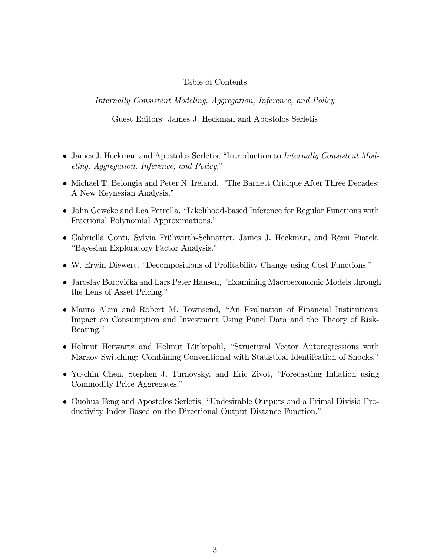## Table of Contents

Internally Consistent Modeling, Aggregation, Inference, and Policy

Guest Editors: James J. Heckman and Apostolos Serletis

- James J. Heckman and Apostolos Serletis, "Introduction to Internally Consistent Mod $eling, Aggregation, Inference, and Policy.$
- Michael T. Belongia and Peter N. Ireland. "The Barnett Critique After Three Decades: A New Keynesian Analysis."
- John Geweke and Lea Petrella, "Likelihood-based Inference for Regular Functions with Fractional Polynomial Approximations.<sup>n</sup>
- Gabriella Conti, Sylvia Frühwirth-Schnatter, James J. Heckman, and Rémi Piatek, "Bayesian Exploratory Factor Analysis."
- W. Erwin Diewert, "Decompositions of Profitability Change using Cost Functions."
- Jaroslav Borovička and Lars Peter Hansen, "Examining Macroeconomic Models through the Lens of Asset Pricing."
- Mauro Alem and Robert M. Townsend, "An Evaluation of Financial Institutions: Impact on Consumption and Investment Using Panel Data and the Theory of Risk-Bearing."
- Helmut Herwartz and Helmut Lütkepohl, "Structural Vector Autoregressions with Markov Switching: Combining Conventional with Statistical Identification of Shocks.<sup>"</sup>
- Yu-chin Chen, Stephen J. Turnovsky, and Eric Zivot, "Forecasting Inflation using Commodity Price Aggregates."
- Guohua Feng and Apostolos Serletis, "Undesirable Outputs and a Primal Divisia Productivity Index Based on the Directional Output Distance Function.<sup>n</sup>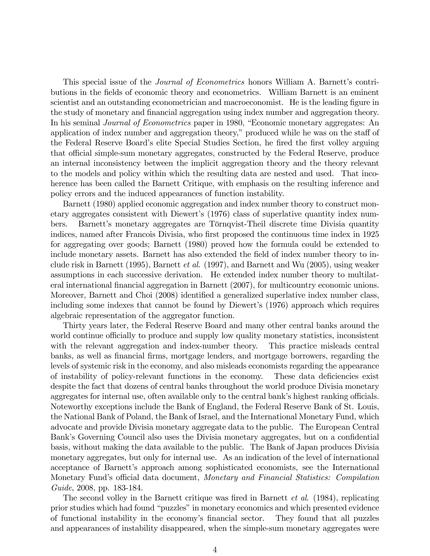This special issue of the *Journal of Econometrics* honors William A. Barnett's contributions in the Öelds of economic theory and econometrics. William Barnett is an eminent scientist and an outstanding econometrician and macroeconomist. He is the leading figure in the study of monetary and Önancial aggregation using index number and aggregation theory. In his seminal *Journal of Econometrics* paper in 1980, "Economic monetary aggregates: An application of index number and aggregation theory," produced while he was on the staff of the Federal Reserve Board's elite Special Studies Section, he fired the first volley arguing that official simple-sum monetary aggregates, constructed by the Federal Reserve, produce an internal inconsistency between the implicit aggregation theory and the theory relevant to the models and policy within which the resulting data are nested and used. That incoherence has been called the Barnett Critique, with emphasis on the resulting inference and policy errors and the induced appearances of function instability.

Barnett (1980) applied economic aggregation and index number theory to construct monetary aggregates consistent with Diewert's (1976) class of superlative quantity index numbers. Barnett's monetary aggregates are Törnqvist-Theil discrete time Divisia quantity indices, named after Francois Divisia, who first proposed the continuous time index in 1925 for aggregating over goods; Barnett (1980) proved how the formula could be extended to include monetary assets. Barnett has also extended the field of index number theory to include risk in Barnett (1995), Barnett *et al.* (1997), and Barnett and Wu (2005), using weaker assumptions in each successive derivation. He extended index number theory to multilateral international financial aggregation in Barnett (2007), for multicountry economic unions. Moreover, Barnett and Choi (2008) identified a generalized superlative index number class, including some indexes that cannot be found by Diewert's (1976) approach which requires algebraic representation of the aggregator function.

Thirty years later, the Federal Reserve Board and many other central banks around the world continue officially to produce and supply low quality monetary statistics, inconsistent with the relevant aggregation and index-number theory. This practice misleads central banks, as well as Önancial Örms, mortgage lenders, and mortgage borrowers, regarding the levels of systemic risk in the economy, and also misleads economists regarding the appearance of instability of policy-relevant functions in the economy. These data deficiencies exist despite the fact that dozens of central banks throughout the world produce Divisia monetary aggregates for internal use, often available only to the central bank's highest ranking officials. Noteworthy exceptions include the Bank of England, the Federal Reserve Bank of St. Louis, the National Bank of Poland, the Bank of Israel, and the International Monetary Fund, which advocate and provide Divisia monetary aggregate data to the public. The European Central Bank's Governing Council also uses the Divisia monetary aggregates, but on a confidential basis, without making the data available to the public. The Bank of Japan produces Divisia monetary aggregates, but only for internal use. As an indication of the level of international acceptance of Barnettís approach among sophisticated economists, see the International Monetary Fund's official data document, *Monetary and Financial Statistics: Compilation* Guide, 2008, pp. 183-184.

The second volley in the Barnett critique was fired in Barnett *et al.* (1984), replicating prior studies which had found "puzzles" in monetary economics and which presented evidence of functional instability in the economyís Önancial sector. They found that all puzzles and appearances of instability disappeared, when the simple-sum monetary aggregates were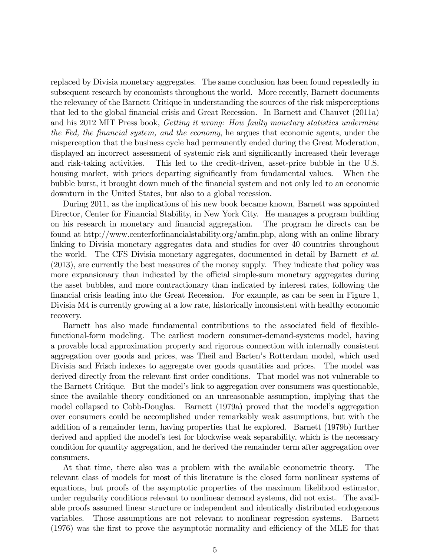replaced by Divisia monetary aggregates. The same conclusion has been found repeatedly in subsequent research by economists throughout the world. More recently, Barnett documents the relevancy of the Barnett Critique in understanding the sources of the risk misperceptions that led to the global Önancial crisis and Great Recession. In Barnett and Chauvet (2011a) and his 2012 MIT Press book, Getting it wrong: How faulty monetary statistics undermine the Fed, the Önancial system, and the economy, he argues that economic agents, under the misperception that the business cycle had permanently ended during the Great Moderation, displayed an incorrect assessment of systemic risk and significantly increased their leverage and risk-taking activities. This led to the credit-driven, asset-price bubble in the U.S. housing market, with prices departing significantly from fundamental values. When the bubble burst, it brought down much of the Önancial system and not only led to an economic downturn in the United States, but also to a global recession.

During 2011, as the implications of his new book became known, Barnett was appointed Director, Center for Financial Stability, in New York City. He manages a program building on his research in monetary and Önancial aggregation. The program he directs can be found at http://www.centerforfinancialstability.org/amfm.php, along with an online library linking to Divisia monetary aggregates data and studies for over 40 countries throughout the world. The CFS Divisia monetary aggregates, documented in detail by Barnett *et al.* (2013), are currently the best measures of the money supply. They indicate that policy was more expansionary than indicated by the official simple-sum monetary aggregates during the asset bubbles, and more contractionary than indicated by interest rates, following the financial crisis leading into the Great Recession. For example, as can be seen in Figure 1, Divisia M4 is currently growing at a low rate, historically inconsistent with healthy economic recovery.

Barnett has also made fundamental contributions to the associated field of flexiblefunctional-form modeling. The earliest modern consumer-demand-systems model, having a provable local approximation property and rigorous connection with internally consistent aggregation over goods and prices, was Theil and Bartenís Rotterdam model, which used Divisia and Frisch indexes to aggregate over goods quantities and prices. The model was derived directly from the relevant first order conditions. That model was not vulnerable to the Barnett Critique. But the modelís link to aggregation over consumers was questionable, since the available theory conditioned on an unreasonable assumption, implying that the model collapsed to Cobb-Douglas. Barnett (1979a) proved that the model's aggregation over consumers could be accomplished under remarkably weak assumptions, but with the addition of a remainder term, having properties that he explored. Barnett (1979b) further derived and applied the model's test for blockwise weak separability, which is the necessary condition for quantity aggregation, and he derived the remainder term after aggregation over consumers.

At that time, there also was a problem with the available econometric theory. The relevant class of models for most of this literature is the closed form nonlinear systems of equations, but proofs of the asymptotic properties of the maximum likelihood estimator, under regularity conditions relevant to nonlinear demand systems, did not exist. The available proofs assumed linear structure or independent and identically distributed endogenous variables. Those assumptions are not relevant to nonlinear regression systems. Barnett (1976) was the first to prove the asymptotic normality and efficiency of the MLE for that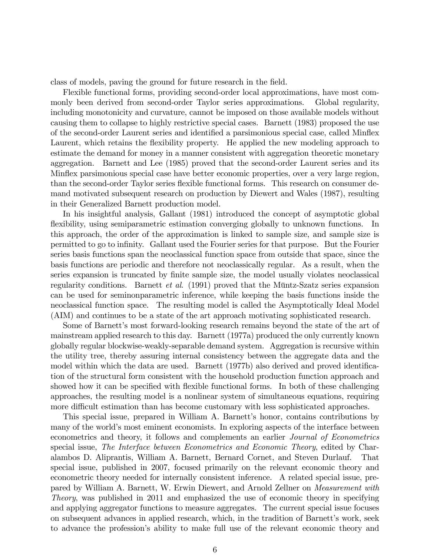class of models, paving the ground for future research in the field.

Flexible functional forms, providing second-order local approximations, have most commonly been derived from second-order Taylor series approximations. Global regularity, including monotonicity and curvature, cannot be imposed on those available models without causing them to collapse to highly restrictive special cases. Barnett (1983) proposed the use of the second-order Laurent series and identified a parsimonious special case, called Minflex Laurent, which retains the flexibility property. He applied the new modeling approach to estimate the demand for money in a manner consistent with aggregation theoretic monetary aggregation. Barnett and Lee (1985) proved that the second-order Laurent series and its Mináex parsimonious special case have better economic properties, over a very large region, than the second-order Taylor series áexible functional forms. This research on consumer demand motivated subsequent research on production by Diewert and Wales (1987), resulting in their Generalized Barnett production model.

In his insightful analysis, Gallant (1981) introduced the concept of asymptotic global flexibility, using semiparametric estimation converging globally to unknown functions. In this approach, the order of the approximation is linked to sample size, and sample size is permitted to go to inÖnity. Gallant used the Fourier series for that purpose. But the Fourier series basis functions span the neoclassical function space from outside that space, since the basis functions are periodic and therefore not neoclassically regular. As a result, when the series expansion is truncated by Önite sample size, the model usually violates neoclassical regularity conditions. Barnett *et al.*  $(1991)$  proved that the Müntz-Szatz series expansion can be used for seminonparametric inference, while keeping the basis functions inside the neoclassical function space. The resulting model is called the Asymptotically Ideal Model (AIM) and continues to be a state of the art approach motivating sophisticated research.

Some of Barnettís most forward-looking research remains beyond the state of the art of mainstream applied research to this day. Barnett (1977a) produced the only currently known globally regular blockwise-weakly-separable demand system. Aggregation is recursive within the utility tree, thereby assuring internal consistency between the aggregate data and the model within which the data are used. Barnett (1977b) also derived and proved identification of the structural form consistent with the household production function approach and showed how it can be specified with flexible functional forms. In both of these challenging approaches, the resulting model is a nonlinear system of simultaneous equations, requiring more difficult estimation than has become customary with less sophisticated approaches.

This special issue, prepared in William A. Barnett's honor, contains contributions by many of the world's most eminent economists. In exploring aspects of the interface between econometrics and theory, it follows and complements an earlier Journal of Econometrics special issue, The Interface between Econometrics and Economic Theory, edited by Charalambos D. Aliprantis, William A. Barnett, Bernard Cornet, and Steven Durlauf. That special issue, published in 2007, focused primarily on the relevant economic theory and econometric theory needed for internally consistent inference. A related special issue, prepared by William A. Barnett, W. Erwin Diewert, and Arnold Zellner on Measurement with Theory, was published in 2011 and emphasized the use of economic theory in specifying and applying aggregator functions to measure aggregates. The current special issue focuses on subsequent advances in applied research, which, in the tradition of Barnett's work, seek to advance the profession's ability to make full use of the relevant economic theory and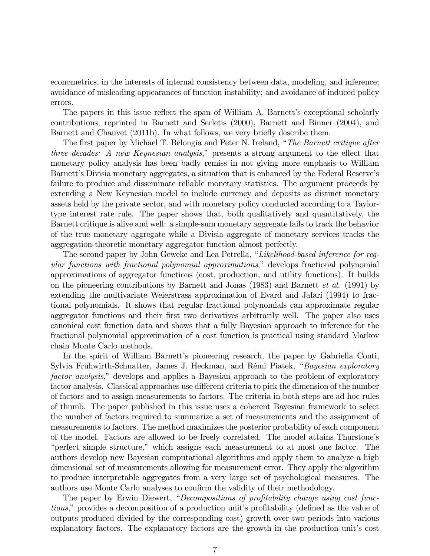econometrics, in the interests of internal consistency between data, modeling, and inference; avoidance of misleading appearances of function instability; and avoidance of induced policy errors.

The papers in this issue reflect the span of William A. Barnett's exceptional scholarly contributions, reprinted in Barnett and Serletis (2000), Barnett and Binner (2004), and Barnett and Chauvet (2011b). In what follows, we very briefly describe them.

The first paper by Michael T. Belongia and Peter N. Ireland, "The Barnett critique after three decades: A new Keynesian analysis," presents a strong argument to the effect that monetary policy analysis has been badly remiss in not giving more emphasis to William Barnett's Divisia monetary aggregates, a situation that is enhanced by the Federal Reserve's failure to produce and disseminate reliable monetary statistics. The argument proceeds by extending a New Keynesian model to include currency and deposits as distinct monetary assets held by the private sector, and with monetary policy conducted according to a Taylortype interest rate rule. The paper shows that, both qualitatively and quantitatively, the Barnett critique is alive and well: a simple-sum monetary aggregate fails to track the behavior of the true monetary aggregate while a Divisia aggregate of monetary services tracks the aggregation-theoretic monetary aggregator function almost perfectly.

The second paper by John Geweke and Lea Petrella, "Likelihood-based inference for regular functions with fractional polynomial approximations," develops fractional polynomial approximations of aggregator functions (cost, production, and utility functions). It builds on the pioneering contributions by Barnett and Jonas (1983) and Barnett et al. (1991) by extending the multivariate Weierstrass approximation of Evard and Jafari (1994) to fractional polynomials. It shows that regular fractional polynomials can approximate regular aggregator functions and their first two derivatives arbitrarily well. The paper also uses canonical cost function data and shows that a fully Bayesian approach to inference for the fractional polynomial approximation of a cost function is practical using standard Markov chain Monte Carlo methods.

In the spirit of William Barnett's pioneering research, the paper by Gabriella Conti, Sylvia Frühwirth-Schnatter, James J. Heckman, and Rémi Piatek, "Bayesian exploratory factor analysis," develops and applies a Bayesian approach to the problem of exploratory factor analysis. Classical approaches use different criteria to pick the dimension of the number of factors and to assign measurements to factors. The criteria in both steps are ad hoc rules of thumb. The paper published in this issue uses a coherent Bayesian framework to select the number of factors required to summarize a set of measurements and the assignment of measurements to factors. The method maximizes the posterior probability of each component of the model. Factors are allowed to be freely correlated. The model attains Thurstoneís "perfect simple structure," which assigns each measurement to at most one factor. The authors develop new Bayesian computational algorithms and apply them to analyze a high dimensional set of measurements allowing for measurement error. They apply the algorithm to produce interpretable aggregates from a very large set of psychological measures. The authors use Monte Carlo analyses to confirm the validity of their methodology.

The paper by Erwin Diewert, "Decompositions of profitability change using cost functions," provides a decomposition of a production unit's profitability (defined as the value of outputs produced divided by the corresponding cost) growth over two periods into various explanatory factors. The explanatory factors are the growth in the production unit's cost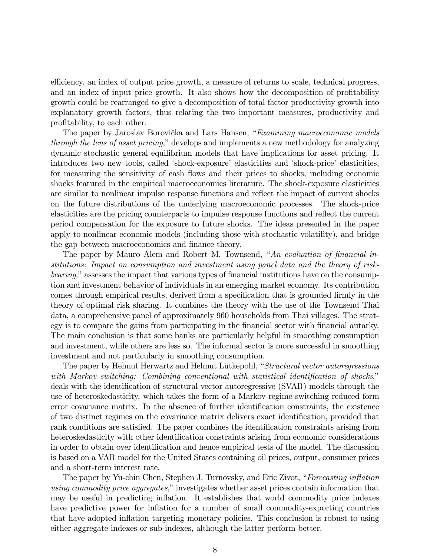efficiency, an index of output price growth, a measure of returns to scale, technical progress, and an index of input price growth. It also shows how the decomposition of profitability growth could be rearranged to give a decomposition of total factor productivity growth into explanatory growth factors, thus relating the two important measures, productivity and profitability, to each other.

The paper by Jaroslav Borovička and Lars Hansen, "Examining macroeconomic models through the lens of asset pricing," develops and implements a new methodology for analyzing dynamic stochastic general equilibrium models that have implications for asset pricing. It introduces two new tools, called 'shock-exposure' elasticities and 'shock-price' elasticities, for measuring the sensitivity of cash flows and their prices to shocks, including economic shocks featured in the empirical macroeconomics literature. The shock-exposure elasticities are similar to nonlinear impulse response functions and reflect the impact of current shocks on the future distributions of the underlying macroeconomic processes. The shock-price elasticities are the pricing counterparts to impulse response functions and reflect the current period compensation for the exposure to future shocks. The ideas presented in the paper apply to nonlinear economic models (including those with stochastic volatility), and bridge the gap between macroeconomics and finance theory.

The paper by Mauro Alem and Robert M. Townsend, "An evaluation of financial institutions: Impact on consumption and investment using panel data and the theory of riskbearing," assesses the impact that various types of financial institutions have on the consumption and investment behavior of individuals in an emerging market economy. Its contribution comes through empirical results, derived from a specification that is grounded firmly in the theory of optimal risk sharing. It combines the theory with the use of the Townsend Thai data, a comprehensive panel of approximately 960 households from Thai villages. The strategy is to compare the gains from participating in the Önancial sector with Önancial autarky. The main conclusion is that some banks are particularly helpful in smoothing consumption and investment, while others are less so. The informal sector is more successful in smoothing investment and not particularly in smoothing consumption.

The paper by Helmut Herwartz and Helmut Lütkepohl, "Structural vector autoregressions" with Markov switching: Combining conventional with statistical identification of shocks," deals with the identification of structural vector autoregressive (SVAR) models through the use of heteroskedasticity, which takes the form of a Markov regime switching reduced form error covariance matrix. In the absence of further identification constraints, the existence of two distinct regimes on the covariance matrix delivers exact identification, provided that rank conditions are satisfied. The paper combines the identification constraints arising from heteroskedasticity with other identification constraints arising from economic considerations in order to obtain over identification and hence empirical tests of the model. The discussion is based on a VAR model for the United States containing oil prices, output, consumer prices and a short-term interest rate.

The paper by Yu-chin Chen, Stephen J. Turnovsky, and Eric Zivot, "Forecasting inflation using commodity price aggregates," investigates whether asset prices contain information that may be useful in predicting inflation. It establishes that world commodity price indexes have predictive power for inflation for a number of small commodity-exporting countries that have adopted inflation targeting monetary policies. This conclusion is robust to using either aggregate indexes or sub-indexes, although the latter perform better.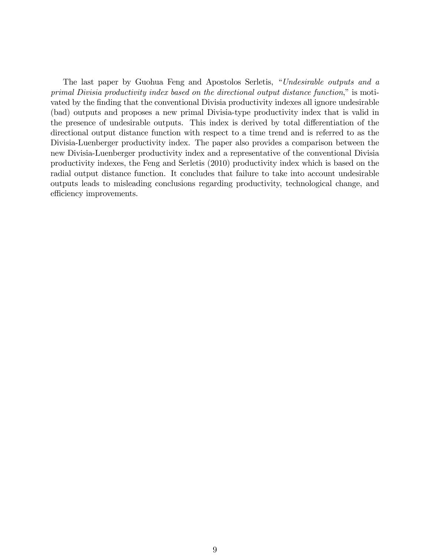The last paper by Guohua Feng and Apostolos Serletis, "Undesirable outputs and a primal Divisia productivity index based on the directional output distance function," is motivated by the finding that the conventional Divisia productivity indexes all ignore undesirable (bad) outputs and proposes a new primal Divisia-type productivity index that is valid in the presence of undesirable outputs. This index is derived by total differentiation of the directional output distance function with respect to a time trend and is referred to as the Divisia-Luenberger productivity index. The paper also provides a comparison between the new Divisia-Luenberger productivity index and a representative of the conventional Divisia productivity indexes, the Feng and Serletis (2010) productivity index which is based on the radial output distance function. It concludes that failure to take into account undesirable outputs leads to misleading conclusions regarding productivity, technological change, and efficiency improvements.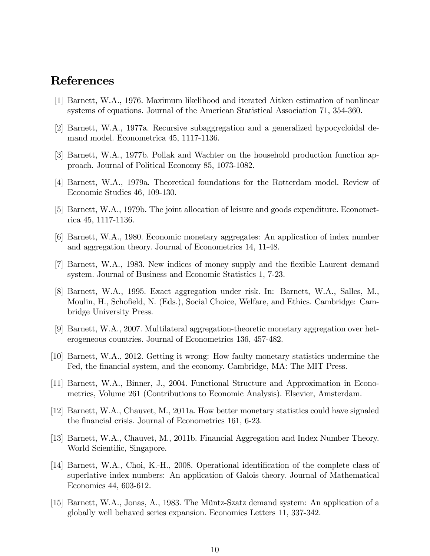## References

- [1] Barnett, W.A., 1976. Maximum likelihood and iterated Aitken estimation of nonlinear systems of equations. Journal of the American Statistical Association 71, 354-360.
- [2] Barnett, W.A., 1977a. Recursive subaggregation and a generalized hypocycloidal demand model. Econometrica 45, 1117-1136.
- [3] Barnett, W.A., 1977b. Pollak and Wachter on the household production function approach. Journal of Political Economy 85, 1073-1082.
- [4] Barnett, W.A., 1979a. Theoretical foundations for the Rotterdam model. Review of Economic Studies 46, 109-130.
- [5] Barnett, W.A., 1979b. The joint allocation of leisure and goods expenditure. Econometrica 45, 1117-1136.
- [6] Barnett, W.A., 1980. Economic monetary aggregates: An application of index number and aggregation theory. Journal of Econometrics 14, 11-48.
- [7] Barnett, W.A., 1983. New indices of money supply and the áexible Laurent demand system. Journal of Business and Economic Statistics 1, 7-23.
- [8] Barnett, W.A., 1995. Exact aggregation under risk. In: Barnett, W.A., Salles, M., Moulin, H., Schofield, N. (Eds.), Social Choice, Welfare, and Ethics. Cambridge: Cambridge University Press.
- [9] Barnett, W.A., 2007. Multilateral aggregation-theoretic monetary aggregation over heterogeneous countries. Journal of Econometrics 136, 457-482.
- [10] Barnett, W.A., 2012. Getting it wrong: How faulty monetary statistics undermine the Fed, the financial system, and the economy. Cambridge, MA: The MIT Press.
- [11] Barnett, W.A., Binner, J., 2004. Functional Structure and Approximation in Econometrics, Volume 261 (Contributions to Economic Analysis). Elsevier, Amsterdam.
- [12] Barnett, W.A., Chauvet, M., 2011a. How better monetary statistics could have signaled the financial crisis. Journal of Econometrics 161, 6-23.
- [13] Barnett, W.A., Chauvet, M., 2011b. Financial Aggregation and Index Number Theory. World Scientific, Singapore.
- [14] Barnett, W.A., Choi, K.-H., 2008. Operational identification of the complete class of superlative index numbers: An application of Galois theory. Journal of Mathematical Economics 44, 603-612.
- [15] Barnett, W.A., Jonas, A., 1983. The Müntz-Szatz demand system: An application of a globally well behaved series expansion. Economics Letters 11, 337-342.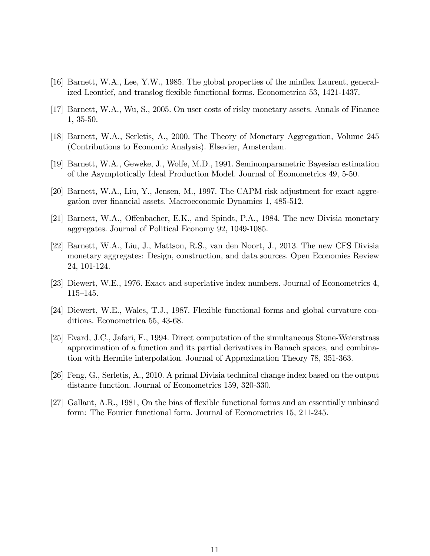- [16] Barnett, W.A., Lee, Y.W., 1985. The global properties of the mináex Laurent, generalized Leontief, and translog flexible functional forms. Econometrica 53, 1421-1437.
- [17] Barnett, W.A., Wu, S., 2005. On user costs of risky monetary assets. Annals of Finance 1, 35-50.
- [18] Barnett, W.A., Serletis, A., 2000. The Theory of Monetary Aggregation, Volume 245 (Contributions to Economic Analysis). Elsevier, Amsterdam.
- [19] Barnett, W.A., Geweke, J., Wolfe, M.D., 1991. Seminonparametric Bayesian estimation of the Asymptotically Ideal Production Model. Journal of Econometrics 49, 5-50.
- [20] Barnett, W.A., Liu, Y., Jensen, M., 1997. The CAPM risk adjustment for exact aggregation over financial assets. Macroeconomic Dynamics 1, 485-512.
- [21] Barnett, W.A., Offenbacher, E.K., and Spindt, P.A., 1984. The new Divisia monetary aggregates. Journal of Political Economy 92, 1049-1085.
- [22] Barnett, W.A., Liu, J., Mattson, R.S., van den Noort, J., 2013. The new CFS Divisia monetary aggregates: Design, construction, and data sources. Open Economies Review 24, 101-124.
- [23] Diewert, W.E., 1976. Exact and superlative index numbers. Journal of Econometrics 4,  $115 - 145.$
- [24] Diewert, W.E., Wales, T.J., 1987. Flexible functional forms and global curvature conditions. Econometrica 55, 43-68.
- [25] Evard, J.C., Jafari, F., 1994. Direct computation of the simultaneous Stone-Weierstrass approximation of a function and its partial derivatives in Banach spaces, and combination with Hermite interpolation. Journal of Approximation Theory 78, 351-363.
- [26] Feng, G., Serletis, A., 2010. A primal Divisia technical change index based on the output distance function. Journal of Econometrics 159, 320-330.
- [27] Gallant, A.R., 1981, On the bias of flexible functional forms and an essentially unbiased form: The Fourier functional form. Journal of Econometrics 15, 211-245.